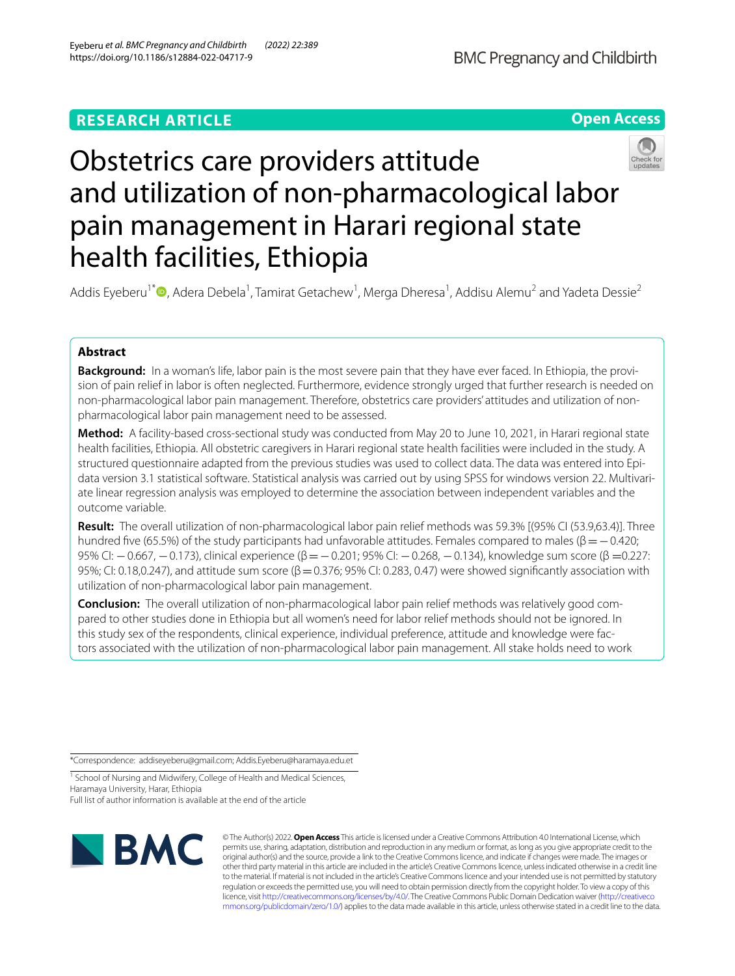## **RESEARCH ARTICLE**





# Obstetrics care providers attitude and utilization of non-pharmacological labor pain management in Harari regional state health facilities, Ethiopia

Addis Eyeberu<sup>1\*</sup><sup>®</sup>[,](http://orcid.org/0000-0002-3147-3770) Adera Debela<sup>1</sup>, Tamirat Getachew<sup>1</sup>, Merga Dheresa<sup>1</sup>, Addisu Alemu<sup>2</sup> and Yadeta Dessie<sup>2</sup>

## **Abstract**

**Background:** In a woman's life, labor pain is the most severe pain that they have ever faced. In Ethiopia, the provision of pain relief in labor is often neglected. Furthermore, evidence strongly urged that further research is needed on non-pharmacological labor pain management. Therefore, obstetrics care providers' attitudes and utilization of nonpharmacological labor pain management need to be assessed.

**Method:** A facility-based cross-sectional study was conducted from May 20 to June 10, 2021, in Harari regional state health facilities, Ethiopia. All obstetric caregivers in Harari regional state health facilities were included in the study. A structured questionnaire adapted from the previous studies was used to collect data. The data was entered into Epidata version 3.1 statistical software. Statistical analysis was carried out by using SPSS for windows version 22. Multivariate linear regression analysis was employed to determine the association between independent variables and the outcome variable.

**Result:** The overall utilization of non-pharmacological labor pain relief methods was 59.3% [(95% CI (53.9,63.4)]. Three hundred five (65.5%) of the study participants had unfavorable attitudes. Females compared to males ( $\beta = -0.420$ ; 95% CI: −0.667, −0.173), clinical experience (β=−0.201; 95% CI: −0.268, −0.134), knowledge sum score (β =0.227: 95%; CI: 0.18,0.247), and attitude sum score ( $\beta$  = 0.376; 95% CI: 0.283, 0.47) were showed significantly association with utilization of non-pharmacological labor pain management.

**Conclusion:** The overall utilization of non-pharmacological labor pain relief methods was relatively good compared to other studies done in Ethiopia but all women's need for labor relief methods should not be ignored. In this study sex of the respondents, clinical experience, individual preference, attitude and knowledge were factors associated with the utilization of non-pharmacological labor pain management. All stake holds need to work

\*Correspondence: addiseyeberu@gmail.com; Addis.Eyeberu@haramaya.edu.et

<sup>1</sup> School of Nursing and Midwifery, College of Health and Medical Sciences, Haramaya University, Harar, Ethiopia

Full list of author information is available at the end of the article



© The Author(s) 2022. **Open Access** This article is licensed under a Creative Commons Attribution 4.0 International License, which permits use, sharing, adaptation, distribution and reproduction in any medium or format, as long as you give appropriate credit to the original author(s) and the source, provide a link to the Creative Commons licence, and indicate if changes were made. The images or other third party material in this article are included in the article's Creative Commons licence, unless indicated otherwise in a credit line to the material. If material is not included in the article's Creative Commons licence and your intended use is not permitted by statutory regulation or exceeds the permitted use, you will need to obtain permission directly from the copyright holder. To view a copy of this licence, visit [http://creativecommons.org/licenses/by/4.0/.](http://creativecommons.org/licenses/by/4.0/) The Creative Commons Public Domain Dedication waiver ([http://creativeco](http://creativecommons.org/publicdomain/zero/1.0/) [mmons.org/publicdomain/zero/1.0/](http://creativecommons.org/publicdomain/zero/1.0/)) applies to the data made available in this article, unless otherwise stated in a credit line to the data.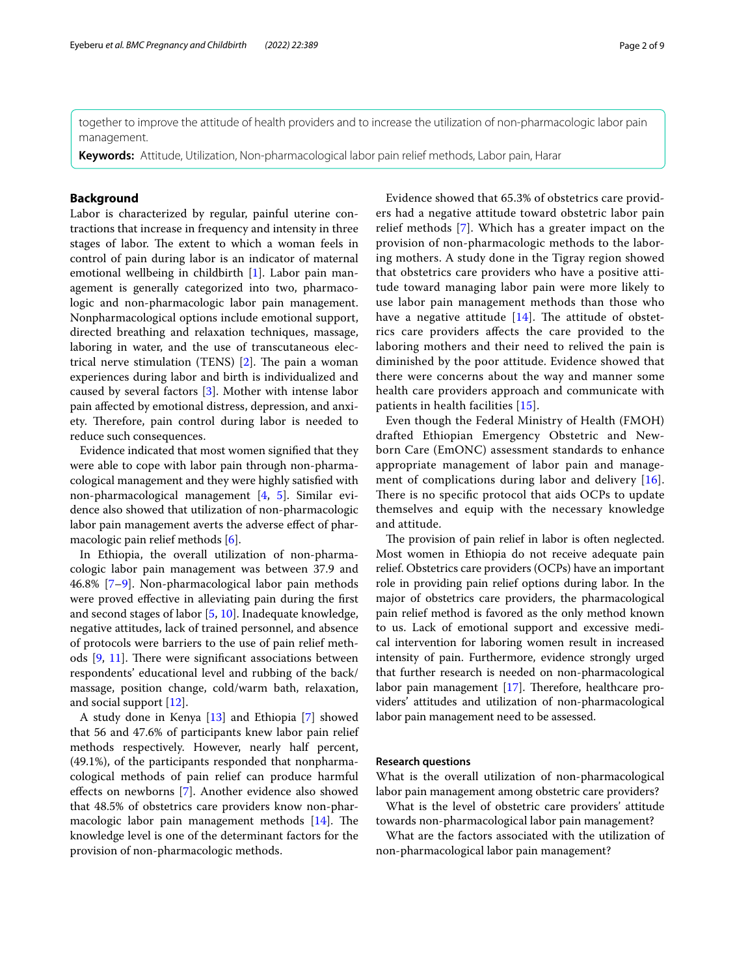together to improve the attitude of health providers and to increase the utilization of non-pharmacologic labor pain management.

**Keywords:** Attitude, Utilization, Non-pharmacological labor pain relief methods, Labor pain, Harar

## **Background**

Labor is characterized by regular, painful uterine contractions that increase in frequency and intensity in three stages of labor. The extent to which a woman feels in control of pain during labor is an indicator of maternal emotional wellbeing in childbirth [\[1](#page-8-0)]. Labor pain management is generally categorized into two, pharmacologic and non-pharmacologic labor pain management. Nonpharmacological options include emotional support, directed breathing and relaxation techniques, massage, laboring in water, and the use of transcutaneous electrical nerve stimulation (TENS)  $[2]$  $[2]$ . The pain a woman experiences during labor and birth is individualized and caused by several factors [[3\]](#page-8-2). Mother with intense labor pain afected by emotional distress, depression, and anxiety. Therefore, pain control during labor is needed to reduce such consequences.

Evidence indicated that most women signifed that they were able to cope with labor pain through non-pharmacological management and they were highly satisfed with non-pharmacological management [[4,](#page-8-3) [5](#page-8-4)]. Similar evidence also showed that utilization of non-pharmacologic labor pain management averts the adverse efect of pharmacologic pain relief methods [\[6](#page-8-5)].

In Ethiopia, the overall utilization of non-pharmacologic labor pain management was between 37.9 and 46.8% [[7–](#page-8-6)[9\]](#page-8-7). Non-pharmacological labor pain methods were proved efective in alleviating pain during the frst and second stages of labor [\[5](#page-8-4), [10\]](#page-8-8). Inadequate knowledge, negative attitudes, lack of trained personnel, and absence of protocols were barriers to the use of pain relief methods  $[9, 11]$  $[9, 11]$  $[9, 11]$  $[9, 11]$  $[9, 11]$ . There were significant associations between respondents' educational level and rubbing of the back/ massage, position change, cold/warm bath, relaxation, and social support [\[12](#page-8-10)].

A study done in Kenya [\[13](#page-8-11)] and Ethiopia [\[7](#page-8-6)] showed that 56 and 47.6% of participants knew labor pain relief methods respectively. However, nearly half percent, (49.1%), of the participants responded that nonpharmacological methods of pain relief can produce harmful efects on newborns [\[7](#page-8-6)]. Another evidence also showed that 48.5% of obstetrics care providers know non-pharmacologic labor pain management methods  $[14]$  $[14]$ . The knowledge level is one of the determinant factors for the provision of non-pharmacologic methods.

Evidence showed that 65.3% of obstetrics care providers had a negative attitude toward obstetric labor pain relief methods [\[7](#page-8-6)]. Which has a greater impact on the provision of non-pharmacologic methods to the laboring mothers. A study done in the Tigray region showed that obstetrics care providers who have a positive attitude toward managing labor pain were more likely to use labor pain management methods than those who have a negative attitude  $[14]$  $[14]$ . The attitude of obstetrics care providers afects the care provided to the laboring mothers and their need to relived the pain is diminished by the poor attitude. Evidence showed that there were concerns about the way and manner some health care providers approach and communicate with patients in health facilities [[15\]](#page-8-13).

Even though the Federal Ministry of Health (FMOH) drafted Ethiopian Emergency Obstetric and Newborn Care (EmONC) assessment standards to enhance appropriate management of labor pain and management of complications during labor and delivery [[16](#page-8-14)]. There is no specific protocol that aids OCPs to update themselves and equip with the necessary knowledge and attitude.

The provision of pain relief in labor is often neglected. Most women in Ethiopia do not receive adequate pain relief. Obstetrics care providers (OCPs) have an important role in providing pain relief options during labor. In the major of obstetrics care providers, the pharmacological pain relief method is favored as the only method known to us. Lack of emotional support and excessive medical intervention for laboring women result in increased intensity of pain. Furthermore, evidence strongly urged that further research is needed on non-pharmacological labor pain management  $[17]$  $[17]$  $[17]$ . Therefore, healthcare providers' attitudes and utilization of non-pharmacological labor pain management need to be assessed.

## **Research questions**

What is the overall utilization of non-pharmacological labor pain management among obstetric care providers?

What is the level of obstetric care providers' attitude towards non-pharmacological labor pain management?

What are the factors associated with the utilization of non-pharmacological labor pain management?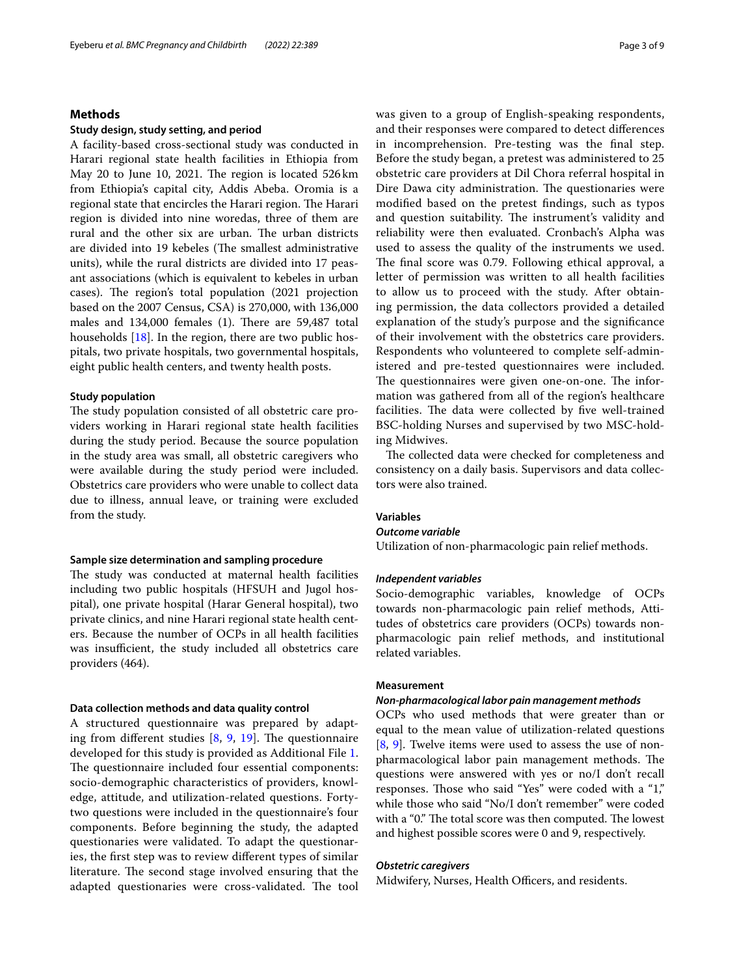## **Methods**

## **Study design, study setting, and period**

A facility-based cross-sectional study was conducted in Harari regional state health facilities in Ethiopia from May 20 to June 10, 2021. The region is located 526km from Ethiopia's capital city, Addis Abeba. Oromia is a regional state that encircles the Harari region. The Harari region is divided into nine woredas, three of them are rural and the other six are urban. The urban districts are divided into 19 kebeles (The smallest administrative units), while the rural districts are divided into 17 peasant associations (which is equivalent to kebeles in urban cases). The region's total population (2021 projection based on the 2007 Census, CSA) is 270,000, with 136,000 males and  $134,000$  females (1). There are  $59,487$  total households [\[18](#page-8-16)]. In the region, there are two public hospitals, two private hospitals, two governmental hospitals, eight public health centers, and twenty health posts.

## **Study population**

The study population consisted of all obstetric care providers working in Harari regional state health facilities during the study period. Because the source population in the study area was small, all obstetric caregivers who were available during the study period were included. Obstetrics care providers who were unable to collect data due to illness, annual leave, or training were excluded from the study.

#### **Sample size determination and sampling procedure**

The study was conducted at maternal health facilities including two public hospitals (HFSUH and Jugol hospital), one private hospital (Harar General hospital), two private clinics, and nine Harari regional state health centers. Because the number of OCPs in all health facilities was insufficient, the study included all obstetrics care providers (464).

## **Data collection methods and data quality control**

A structured questionnaire was prepared by adapting from different studies  $[8, 9, 19]$  $[8, 9, 19]$  $[8, 9, 19]$  $[8, 9, 19]$  $[8, 9, 19]$  $[8, 9, 19]$ . The questionnaire developed for this study is provided as Additional File [1](#page-7-0). The questionnaire included four essential components: socio-demographic characteristics of providers, knowledge, attitude, and utilization-related questions. Fortytwo questions were included in the questionnaire's four components. Before beginning the study, the adapted questionaries were validated. To adapt the questionaries, the frst step was to review diferent types of similar literature. The second stage involved ensuring that the adapted questionaries were cross-validated. The tool was given to a group of English-speaking respondents, and their responses were compared to detect diferences in incomprehension. Pre-testing was the fnal step. Before the study began, a pretest was administered to 25 obstetric care providers at Dil Chora referral hospital in Dire Dawa city administration. The questionaries were modifed based on the pretest fndings, such as typos and question suitability. The instrument's validity and reliability were then evaluated. Cronbach's Alpha was used to assess the quality of the instruments we used. The final score was 0.79. Following ethical approval, a letter of permission was written to all health facilities to allow us to proceed with the study. After obtaining permission, the data collectors provided a detailed explanation of the study's purpose and the signifcance of their involvement with the obstetrics care providers. Respondents who volunteered to complete self-administered and pre-tested questionnaires were included. The questionnaires were given one-on-one. The information was gathered from all of the region's healthcare facilities. The data were collected by five well-trained BSC-holding Nurses and supervised by two MSC-holding Midwives.

The collected data were checked for completeness and consistency on a daily basis. Supervisors and data collectors were also trained.

## **Variables**

## *Outcome variable*

Utilization of non-pharmacologic pain relief methods.

## *Independent variables*

Socio-demographic variables, knowledge of OCPs towards non-pharmacologic pain relief methods, Attitudes of obstetrics care providers (OCPs) towards nonpharmacologic pain relief methods, and institutional related variables.

## **Measurement**

## *Non‑pharmacological labor pain management methods*

OCPs who used methods that were greater than or equal to the mean value of utilization-related questions [[8,](#page-8-17) [9](#page-8-7)]. Twelve items were used to assess the use of nonpharmacological labor pain management methods. The questions were answered with yes or no/I don't recall responses. Those who said "Yes" were coded with a "1," while those who said "No/I don't remember" were coded with a "0." The total score was then computed. The lowest and highest possible scores were 0 and 9, respectively.

## *Obstetric caregivers*

Midwifery, Nurses, Health Officers, and residents.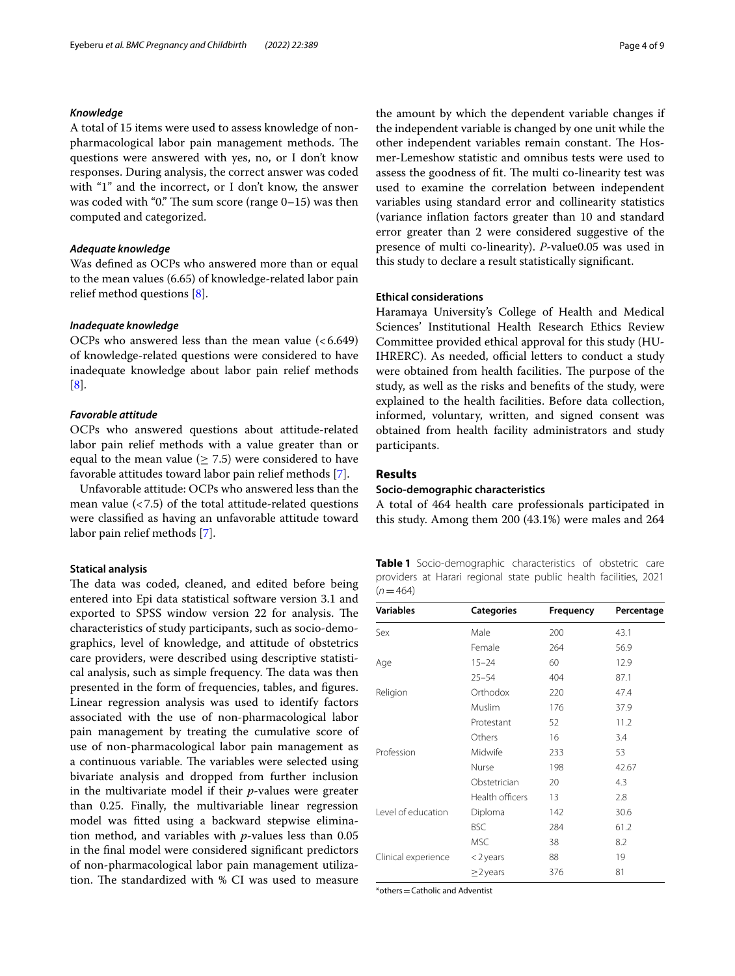## *Knowledge*

A total of 15 items were used to assess knowledge of nonpharmacological labor pain management methods. The questions were answered with yes, no, or I don't know responses. During analysis, the correct answer was coded with "1" and the incorrect, or I don't know, the answer was coded with "0." The sum score (range  $0-15$ ) was then computed and categorized.

## *Adequate knowledge*

Was defned as OCPs who answered more than or equal to the mean values (6.65) of knowledge-related labor pain relief method questions [\[8](#page-8-17)].

## *Inadequate knowledge*

OCPs who answered less than the mean value  $(<6.649)$ of knowledge-related questions were considered to have inadequate knowledge about labor pain relief methods [[8\]](#page-8-17).

## *Favorable attitude*

OCPs who answered questions about attitude-related labor pain relief methods with a value greater than or equal to the mean value ( $\geq$  7.5) were considered to have favorable attitudes toward labor pain relief methods [\[7](#page-8-6)].

Unfavorable attitude: OCPs who answered less than the mean value  $\left($  < 7.5) of the total attitude-related questions were classifed as having an unfavorable attitude toward labor pain relief methods [[7](#page-8-6)].

## **Statical analysis**

The data was coded, cleaned, and edited before being entered into Epi data statistical software version 3.1 and exported to SPSS window version 22 for analysis. The characteristics of study participants, such as socio-demographics, level of knowledge, and attitude of obstetrics care providers, were described using descriptive statistical analysis, such as simple frequency. The data was then presented in the form of frequencies, tables, and fgures. Linear regression analysis was used to identify factors associated with the use of non-pharmacological labor pain management by treating the cumulative score of use of non-pharmacological labor pain management as a continuous variable. The variables were selected using bivariate analysis and dropped from further inclusion in the multivariate model if their *p*-values were greater than 0.25. Finally, the multivariable linear regression model was ftted using a backward stepwise elimination method, and variables with *p*-values less than 0.05 in the fnal model were considered signifcant predictors of non-pharmacological labor pain management utilization. The standardized with % CI was used to measure the amount by which the dependent variable changes if the independent variable is changed by one unit while the other independent variables remain constant. The Hosmer-Lemeshow statistic and omnibus tests were used to assess the goodness of fit. The multi co-linearity test was used to examine the correlation between independent variables using standard error and collinearity statistics (variance infation factors greater than 10 and standard error greater than 2 were considered suggestive of the presence of multi co-linearity). *P*-value0.05 was used in this study to declare a result statistically signifcant.

## **Ethical considerations**

Haramaya University's College of Health and Medical Sciences' Institutional Health Research Ethics Review Committee provided ethical approval for this study (HU-IHRERC). As needed, official letters to conduct a study were obtained from health facilities. The purpose of the study, as well as the risks and benefts of the study, were explained to the health facilities. Before data collection, informed, voluntary, written, and signed consent was obtained from health facility administrators and study participants.

## **Results**

## **Socio‑demographic characteristics**

A total of 464 health care professionals participated in this study. Among them 200 (43.1%) were males and 264

<span id="page-3-0"></span>

|           |  |  |  | <b>Table 1</b> Socio-demographic characteristics of obstetric care |  |
|-----------|--|--|--|--------------------------------------------------------------------|--|
| $(n=464)$ |  |  |  | providers at Harari regional state public health facilities, 2021  |  |

| <b>Variables</b>    | <b>Categories</b> | Frequency | Percentage |
|---------------------|-------------------|-----------|------------|
| Sex                 | Male              | 200       | 43.1       |
|                     | Female            | 264       | 56.9       |
| Age                 | $15 - 24$         | 60        | 12.9       |
|                     | $25 - 54$         | 404       | 87.1       |
| Religion            | Orthodox          | 220       | 47.4       |
|                     | Muslim            | 176       | 37.9       |
|                     | Protestant        | 52        | 11.2       |
|                     | Others            | 16        | 3.4        |
| Profession          | Midwife           | 233       | 53         |
|                     | Nurse             | 198       | 42.67      |
|                     | Obstetrician      | 20        | 4.3        |
|                     | Health officers   | 13        | 2.8        |
| Level of education  | Diploma           | 142       | 30.6       |
|                     | <b>BSC</b>        | 284       | 61.2       |
|                     | MSC               | 38        | 8.2        |
| Clinical experience | $<$ 2 years       | 88        | 19         |
|                     | $\geq$ 2 years    | 376       | 81         |

\*others=Catholic and Adventist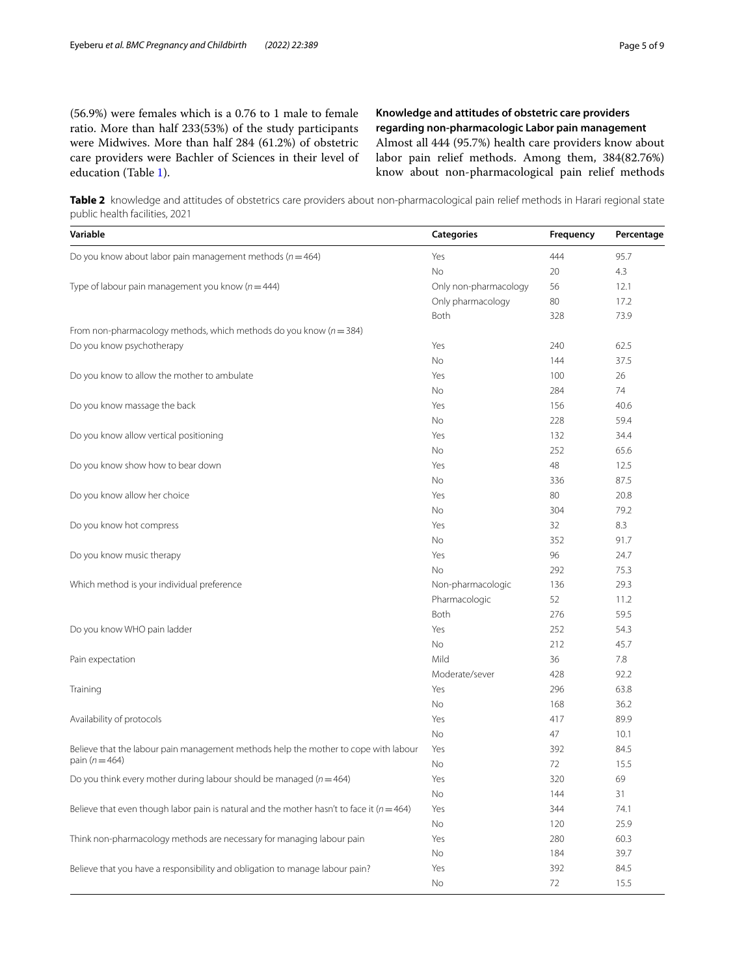(56.9%) were females which is a 0.76 to 1 male to female ratio. More than half 233(53%) of the study participants were Midwives. More than half 284 (61.2%) of obstetric care providers were Bachler of Sciences in their level of education (Table [1](#page-3-0)).

**Knowledge and attitudes of obstetric care providers regarding non‑pharmacologic Labor pain management** Almost all 444 (95.7%) health care providers know about labor pain relief methods. Among them, 384(82.76%) know about non-pharmacological pain relief methods

<span id="page-4-0"></span>**Table 2** knowledge and attitudes of obstetrics care providers about non-pharmacological pain relief methods in Harari regional state public health facilities, 2021

| Variable                                                                                      | <b>Categories</b>     | Frequency | Percentage |
|-----------------------------------------------------------------------------------------------|-----------------------|-----------|------------|
| Do you know about labor pain management methods ( $n = 464$ )                                 | Yes                   | 444       | 95.7       |
|                                                                                               | No                    | 20        | 4.3        |
| Type of labour pain management you know ( $n = 444$ )                                         | Only non-pharmacology | 56        | 12.1       |
|                                                                                               | Only pharmacology     | 80        | 17.2       |
|                                                                                               | Both                  | 328       | 73.9       |
| From non-pharmacology methods, which methods do you know ( $n = 384$ )                        |                       |           |            |
| Do you know psychotherapy                                                                     | Yes                   | 240       | 62.5       |
|                                                                                               | No                    | 144       | 37.5       |
| Do you know to allow the mother to ambulate                                                   | Yes                   | 100       | 26         |
|                                                                                               | No                    | 284       | 74         |
| Do you know massage the back                                                                  | Yes                   | 156       | 40.6       |
|                                                                                               | No                    | 228       | 59.4       |
| Do you know allow vertical positioning                                                        | Yes                   | 132       | 34.4       |
|                                                                                               | No                    | 252       | 65.6       |
| Do you know show how to bear down                                                             | Yes                   | 48        | 12.5       |
|                                                                                               | No                    | 336       | 87.5       |
| Do you know allow her choice                                                                  | Yes                   | 80        | 20.8       |
|                                                                                               | No                    | 304       | 79.2       |
| Do you know hot compress                                                                      | Yes                   | 32        | 8.3        |
|                                                                                               | No                    | 352       | 91.7       |
| Do you know music therapy                                                                     | Yes                   | 96        | 24.7       |
|                                                                                               | No                    | 292       | 75.3       |
| Which method is your individual preference                                                    | Non-pharmacologic     | 136       | 29.3       |
|                                                                                               | Pharmacologic         | 52        | 11.2       |
|                                                                                               | Both                  | 276       | 59.5       |
| Do you know WHO pain ladder                                                                   | Yes                   | 252       | 54.3       |
|                                                                                               | No                    | 212       | 45.7       |
| Pain expectation                                                                              | Mild                  | 36        | 7.8        |
|                                                                                               | Moderate/sever        | 428       | 92.2       |
| Training                                                                                      | Yes                   | 296       | 63.8       |
|                                                                                               | No                    | 168       | 36.2       |
| Availability of protocols                                                                     | Yes                   | 417       | 89.9       |
|                                                                                               | No                    | 47        | 10.1       |
| Believe that the labour pain management methods help the mother to cope with labour           | Yes                   | 392       | 84.5       |
| pain ( $n = 464$ )                                                                            | No                    | 72        | 15.5       |
| Do you think every mother during labour should be managed ( $n = 464$ )                       | Yes                   | 320       | 69         |
|                                                                                               | No                    | 144       | 31         |
| Believe that even though labor pain is natural and the mother hasn't to face it ( $n = 464$ ) | Yes                   | 344       | 74.1       |
|                                                                                               | No                    | 120       | 25.9       |
| Think non-pharmacology methods are necessary for managing labour pain                         | Yes                   | 280       | 60.3       |
|                                                                                               | No                    | 184       | 39.7       |
| Believe that you have a responsibility and obligation to manage labour pain?                  | Yes                   | 392       | 84.5       |
|                                                                                               | No                    | 72        | 15.5       |
|                                                                                               |                       |           |            |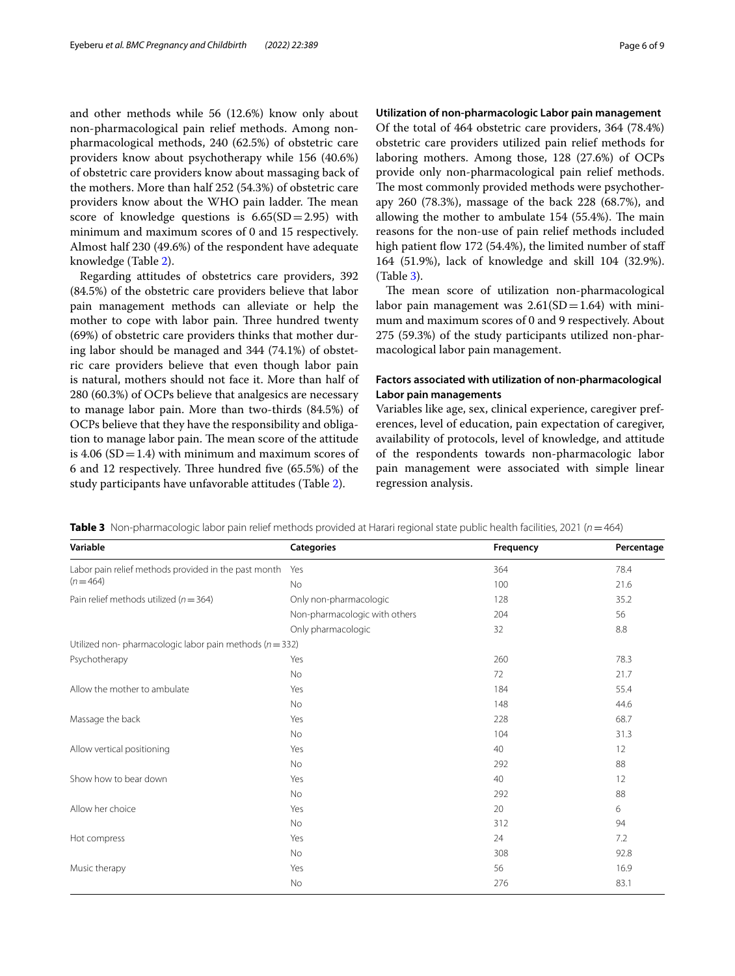and other methods while 56 (12.6%) know only about non-pharmacological pain relief methods. Among nonpharmacological methods, 240 (62.5%) of obstetric care providers know about psychotherapy while 156 (40.6%) of obstetric care providers know about massaging back of the mothers. More than half 252 (54.3%) of obstetric care providers know about the WHO pain ladder. The mean score of knowledge questions is  $6.65(SD=2.95)$  with minimum and maximum scores of 0 and 15 respectively. Almost half 230 (49.6%) of the respondent have adequate knowledge (Table [2\)](#page-4-0).

Regarding attitudes of obstetrics care providers, 392 (84.5%) of the obstetric care providers believe that labor pain management methods can alleviate or help the mother to cope with labor pain. Three hundred twenty (69%) of obstetric care providers thinks that mother during labor should be managed and 344 (74.1%) of obstetric care providers believe that even though labor pain is natural, mothers should not face it. More than half of 280 (60.3%) of OCPs believe that analgesics are necessary to manage labor pain. More than two-thirds (84.5%) of OCPs believe that they have the responsibility and obligation to manage labor pain. The mean score of the attitude is 4.06 ( $SD = 1.4$ ) with minimum and maximum scores of 6 and 12 respectively. Three hundred five (65.5%) of the study participants have unfavorable attitudes (Table [2](#page-4-0)).

## **Utilization of non‑pharmacologic Labor pain management**

Of the total of 464 obstetric care providers, 364 (78.4%) obstetric care providers utilized pain relief methods for laboring mothers. Among those, 128 (27.6%) of OCPs provide only non-pharmacological pain relief methods. The most commonly provided methods were psychotherapy 260 (78.3%), massage of the back 228 (68.7%), and allowing the mother to ambulate  $154$  (55.4%). The main reasons for the non-use of pain relief methods included high patient flow 172 (54.4%), the limited number of staff 164 (51.9%), lack of knowledge and skill 104 (32.9%). (Table [3\)](#page-5-0).

The mean score of utilization non-pharmacological labor pain management was  $2.61(SD=1.64)$  with minimum and maximum scores of 0 and 9 respectively. About 275 (59.3%) of the study participants utilized non-pharmacological labor pain management.

## **Factors associated with utilization of non‑pharmacological Labor pain managements**

Variables like age, sex, clinical experience, caregiver preferences, level of education, pain expectation of caregiver, availability of protocols, level of knowledge, and attitude of the respondents towards non-pharmacologic labor pain management were associated with simple linear regression analysis.

<span id="page-5-0"></span>**Table 3** Non-pharmacologic labor pain relief methods provided at Harari regional state public health facilities, 2021 (*n*=464)

| Variable                                                    | <b>Categories</b>             | Frequency | Percentage |
|-------------------------------------------------------------|-------------------------------|-----------|------------|
| Labor pain relief methods provided in the past month Yes    |                               | 364       | 78.4       |
| $(n = 464)$                                                 | No                            | 100       | 21.6       |
| Pain relief methods utilized ( $n = 364$ )                  | Only non-pharmacologic        | 128       | 35.2       |
|                                                             | Non-pharmacologic with others | 204       | 56         |
|                                                             | Only pharmacologic            | 32        | 8.8        |
| Utilized non-pharmacologic labor pain methods ( $n = 332$ ) |                               |           |            |
| Psychotherapy                                               | Yes                           | 260       | 78.3       |
|                                                             | No                            | 72        | 21.7       |
| Allow the mother to ambulate                                | Yes                           | 184       | 55.4       |
|                                                             | <b>No</b>                     | 148       | 44.6       |
| Massage the back                                            | Yes                           | 228       | 68.7       |
|                                                             | <b>No</b>                     | 104       | 31.3       |
| Allow vertical positioning                                  | Yes                           | 40        | 12         |
|                                                             | <b>No</b>                     | 292       | 88         |
| Show how to bear down                                       | Yes                           | 40        | 12         |
|                                                             | <b>No</b>                     | 292       | 88         |
| Allow her choice                                            | Yes                           | 20        | 6          |
|                                                             | <b>No</b>                     | 312       | 94         |
| Hot compress                                                | Yes                           | 24        | 7.2        |
|                                                             | <b>No</b>                     | 308       | 92.8       |
| Music therapy                                               | Yes                           | 56        | 16.9       |
|                                                             | No                            | 276       | 83.1       |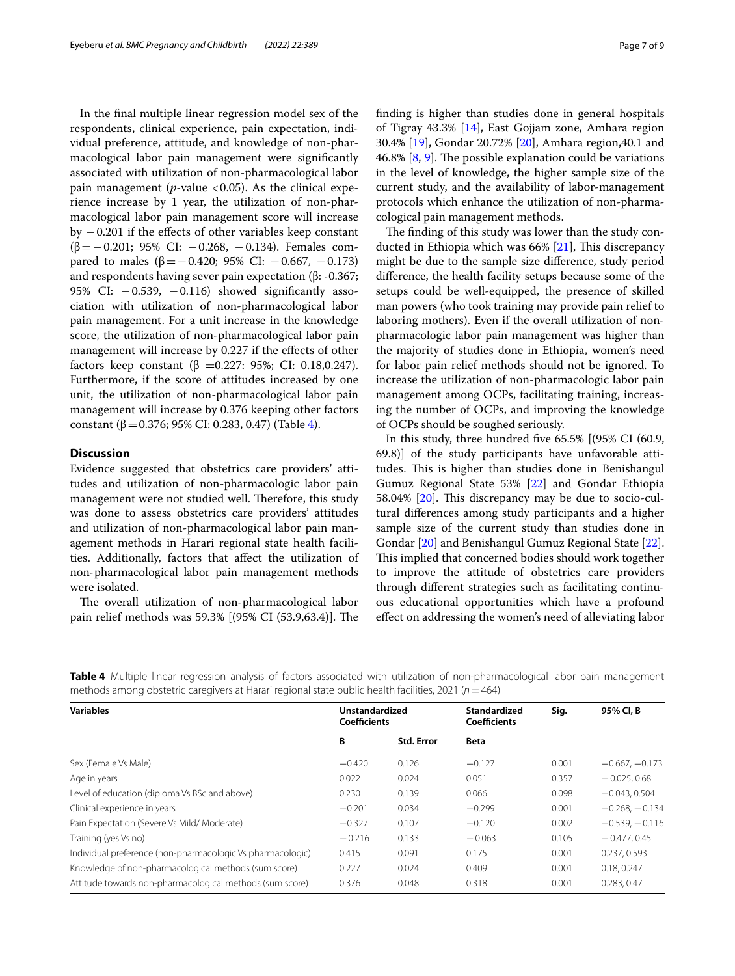In the fnal multiple linear regression model sex of the respondents, clinical experience, pain expectation, individual preference, attitude, and knowledge of non-pharmacological labor pain management were signifcantly associated with utilization of non-pharmacological labor pain management ( $p$ -value <0.05). As the clinical experience increase by 1 year, the utilization of non-pharmacological labor pain management score will increase by  $-0.201$  if the effects of other variables keep constant (β=−0.201; 95% CI: −0.268, −0.134). Females compared to males ( $β = -0.420$ ; 95% CI:  $-0.667$ ,  $-0.173$ ) and respondents having sever pain expectation (β: -0.367; 95% CI:  $-0.539$ ,  $-0.116$ ) showed significantly association with utilization of non-pharmacological labor pain management. For a unit increase in the knowledge score, the utilization of non-pharmacological labor pain management will increase by 0.227 if the effects of other factors keep constant (β = 0.227: 95%; CI: 0.18,0.247). Furthermore, if the score of attitudes increased by one unit, the utilization of non-pharmacological labor pain management will increase by 0.376 keeping other factors constant (β = 0.376; 95% CI: 0.283, 0.47) (Table [4\)](#page-6-0).

## **Discussion**

Evidence suggested that obstetrics care providers' attitudes and utilization of non-pharmacologic labor pain management were not studied well. Therefore, this study was done to assess obstetrics care providers' attitudes and utilization of non-pharmacological labor pain management methods in Harari regional state health facilities. Additionally, factors that afect the utilization of non-pharmacological labor pain management methods were isolated.

The overall utilization of non-pharmacological labor pain relief methods was 59.3% [(95% CI (53.9,63.4)]. The fnding is higher than studies done in general hospitals of Tigray 43.3% [[14](#page-8-12)], East Gojjam zone, Amhara region 30.4% [\[19](#page-8-18)], Gondar 20.72% [\[20](#page-8-19)], Amhara region,40.1 and 46.8%  $[8, 9]$  $[8, 9]$  $[8, 9]$ . The possible explanation could be variations in the level of knowledge, the higher sample size of the current study, and the availability of labor-management protocols which enhance the utilization of non-pharmacological pain management methods.

The finding of this study was lower than the study conducted in Ethiopia which was  $66\%$  [[21](#page-8-20)], This discrepancy might be due to the sample size diference, study period diference, the health facility setups because some of the setups could be well-equipped, the presence of skilled man powers (who took training may provide pain relief to laboring mothers). Even if the overall utilization of nonpharmacologic labor pain management was higher than the majority of studies done in Ethiopia, women's need for labor pain relief methods should not be ignored. To increase the utilization of non-pharmacologic labor pain management among OCPs, facilitating training, increasing the number of OCPs, and improving the knowledge of OCPs should be soughed seriously.

In this study, three hundred fve 65.5% [(95% CI (60.9, 69.8)] of the study participants have unfavorable attitudes. This is higher than studies done in Benishangul Gumuz Regional State 53% [\[22](#page-8-21)] and Gondar Ethiopia 58.04% [\[20](#page-8-19)]. This discrepancy may be due to socio-cultural diferences among study participants and a higher sample size of the current study than studies done in Gondar [[20\]](#page-8-19) and Benishangul Gumuz Regional State [\[22](#page-8-21)]. This implied that concerned bodies should work together to improve the attitude of obstetrics care providers through diferent strategies such as facilitating continuous educational opportunities which have a profound efect on addressing the women's need of alleviating labor

| <b>Variables</b>                                           | Unstandardized<br>Coefficients |                   | Standardized<br><b>Coefficients</b> | Sig.  | 95% CI, B        |
|------------------------------------------------------------|--------------------------------|-------------------|-------------------------------------|-------|------------------|
|                                                            | B                              | <b>Std. Error</b> | <b>Beta</b>                         |       |                  |
| Sex (Female Vs Male)                                       | $-0.420$                       | 0.126             | $-0.127$                            | 0.001 | $-0.667, -0.173$ |
| Age in years                                               | 0.022                          | 0.024             | 0.051                               | 0.357 | $-0.025, 0.68$   |
| Level of education (diploma Vs BSc and above)              | 0.230                          | 0.139             | 0.066                               | 0.098 | $-0.043, 0.504$  |
| Clinical experience in years                               | $-0.201$                       | 0.034             | $-0.299$                            | 0.001 | $-0.268 - 0.134$ |
| Pain Expectation (Severe Vs Mild/ Moderate)                | $-0.327$                       | 0.107             | $-0.120$                            | 0.002 | $-0.539 - 0.116$ |
| Training (yes Vs no)                                       | $-0.216$                       | 0.133             | $-0.063$                            | 0.105 | $-0.477.0.45$    |
| Individual preference (non-pharmacologic Vs pharmacologic) | 0.415                          | 0.091             | 0.175                               | 0.001 | 0.237, 0.593     |
| Knowledge of non-pharmacological methods (sum score)       | 0.227                          | 0.024             | 0.409                               | 0.001 | 0.18, 0.247      |
| Attitude towards non-pharmacological methods (sum score)   | 0.376                          | 0.048             | 0.318                               | 0.001 | 0.283.0.47       |

<span id="page-6-0"></span>**Table 4** Multiple linear regression analysis of factors associated with utilization of non-pharmacological labor pain management methods among obstetric caregivers at Harari regional state public health facilities, 2021 (*n*=464)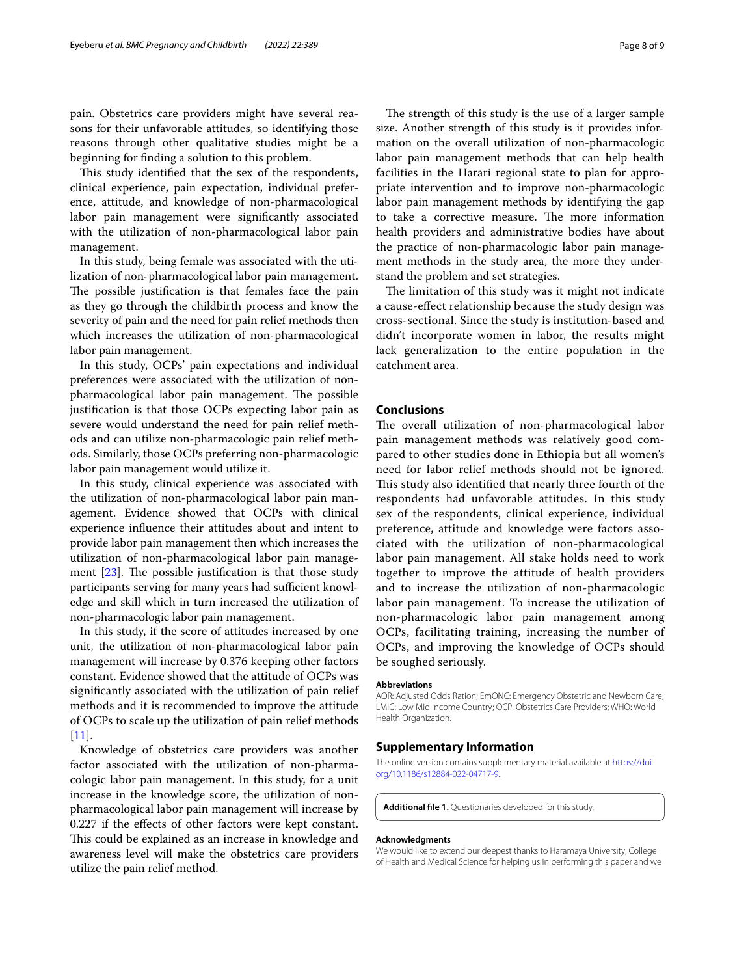pain. Obstetrics care providers might have several reasons for their unfavorable attitudes, so identifying those reasons through other qualitative studies might be a beginning for fnding a solution to this problem.

This study identified that the sex of the respondents, clinical experience, pain expectation, individual preference, attitude, and knowledge of non-pharmacological labor pain management were signifcantly associated with the utilization of non-pharmacological labor pain management.

In this study, being female was associated with the utilization of non-pharmacological labor pain management. The possible justification is that females face the pain as they go through the childbirth process and know the severity of pain and the need for pain relief methods then which increases the utilization of non-pharmacological labor pain management.

In this study, OCPs' pain expectations and individual preferences were associated with the utilization of nonpharmacological labor pain management. The possible justifcation is that those OCPs expecting labor pain as severe would understand the need for pain relief methods and can utilize non-pharmacologic pain relief methods. Similarly, those OCPs preferring non-pharmacologic labor pain management would utilize it.

In this study, clinical experience was associated with the utilization of non-pharmacological labor pain management. Evidence showed that OCPs with clinical experience infuence their attitudes about and intent to provide labor pain management then which increases the utilization of non-pharmacological labor pain management  $[23]$ . The possible justification is that those study participants serving for many years had sufficient knowledge and skill which in turn increased the utilization of non-pharmacologic labor pain management.

In this study, if the score of attitudes increased by one unit, the utilization of non-pharmacological labor pain management will increase by 0.376 keeping other factors constant. Evidence showed that the attitude of OCPs was signifcantly associated with the utilization of pain relief methods and it is recommended to improve the attitude of OCPs to scale up the utilization of pain relief methods  $[11]$  $[11]$ .

Knowledge of obstetrics care providers was another factor associated with the utilization of non-pharmacologic labor pain management. In this study, for a unit increase in the knowledge score, the utilization of nonpharmacological labor pain management will increase by 0.227 if the efects of other factors were kept constant. This could be explained as an increase in knowledge and awareness level will make the obstetrics care providers utilize the pain relief method.

The strength of this study is the use of a larger sample size. Another strength of this study is it provides information on the overall utilization of non-pharmacologic labor pain management methods that can help health facilities in the Harari regional state to plan for appropriate intervention and to improve non-pharmacologic labor pain management methods by identifying the gap to take a corrective measure. The more information health providers and administrative bodies have about the practice of non-pharmacologic labor pain management methods in the study area, the more they understand the problem and set strategies.

The limitation of this study was it might not indicate a cause-efect relationship because the study design was cross-sectional. Since the study is institution-based and didn't incorporate women in labor, the results might lack generalization to the entire population in the catchment area.

## **Conclusions**

The overall utilization of non-pharmacological labor pain management methods was relatively good compared to other studies done in Ethiopia but all women's need for labor relief methods should not be ignored. This study also identified that nearly three fourth of the respondents had unfavorable attitudes. In this study sex of the respondents, clinical experience, individual preference, attitude and knowledge were factors associated with the utilization of non-pharmacological labor pain management. All stake holds need to work together to improve the attitude of health providers and to increase the utilization of non-pharmacologic labor pain management. To increase the utilization of non-pharmacologic labor pain management among OCPs, facilitating training, increasing the number of OCPs, and improving the knowledge of OCPs should be soughed seriously.

#### **Abbreviations**

AOR: Adjusted Odds Ration; EmONC: Emergency Obstetric and Newborn Care; LMIC: Low Mid Income Country; OCP: Obstetrics Care Providers; WHO: World Health Organization.

## **Supplementary Information**

The online version contains supplementary material available at [https://doi.](https://doi.org/10.1186/s12884-022-04717-9) [org/10.1186/s12884-022-04717-9](https://doi.org/10.1186/s12884-022-04717-9).

<span id="page-7-0"></span>**Additional fle 1.** Questionaries developed for this study.

#### **Acknowledgments**

We would like to extend our deepest thanks to Haramaya University, College of Health and Medical Science for helping us in performing this paper and we